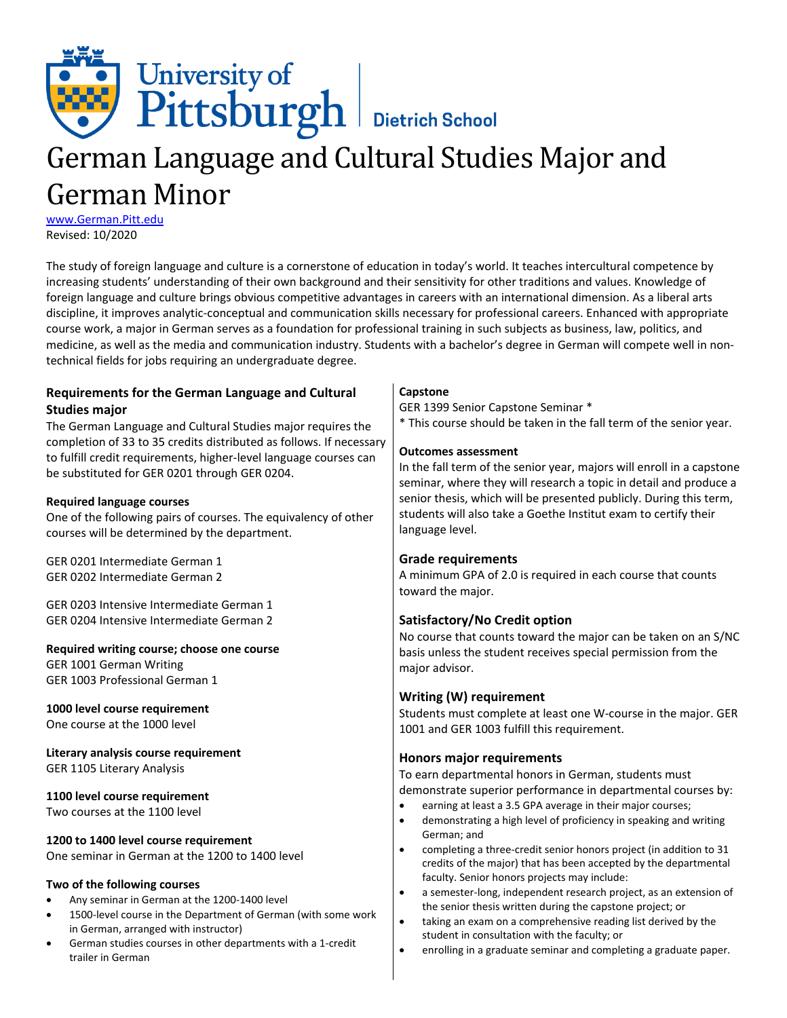

# German Language and Cultural Studies Major and German Minor

[www.German.Pitt.edu](http://www.german.pitt.edu/) Revised: 10/2020

The study of foreign language and culture is a cornerstone of education in today's world. It teaches intercultural competence by increasing students' understanding of their own background and their sensitivity for other traditions and values. Knowledge of foreign language and culture brings obvious competitive advantages in careers with an international dimension. As a liberal arts discipline, it improves analytic-conceptual and communication skills necessary for professional careers. Enhanced with appropriate course work, a major in German serves as a foundation for professional training in such subjects as business, law, politics, and medicine, as well as the media and communication industry. Students with a bachelor's degree in German will compete well in nontechnical fields for jobs requiring an undergraduate degree.

| Requirements for the German Language and Cultural                          | Capstone                                                                                                                                   |
|----------------------------------------------------------------------------|--------------------------------------------------------------------------------------------------------------------------------------------|
| <b>Studies major</b>                                                       | GER 1399 Senior Capstone Seminar *                                                                                                         |
| The German Language and Cultural Studies major requires the                | * This course should be taken in the fall term of the senior year.                                                                         |
| completion of 33 to 35 credits distributed as follows. If necessary        |                                                                                                                                            |
| to fulfill credit requirements, higher-level language courses can          | <b>Outcomes assessment</b>                                                                                                                 |
| be substituted for GER 0201 through GER 0204.                              | In the fall term of the senior year, majors will enroll in a capstone<br>seminar, where they will research a topic in detail and produce a |
| <b>Required language courses</b>                                           | senior thesis, which will be presented publicly. During this term,                                                                         |
| One of the following pairs of courses. The equivalency of other            | students will also take a Goethe Institut exam to certify their                                                                            |
| courses will be determined by the department.                              | language level.                                                                                                                            |
| GER 0201 Intermediate German 1                                             | <b>Grade requirements</b>                                                                                                                  |
| GER 0202 Intermediate German 2                                             | A minimum GPA of 2.0 is required in each course that counts                                                                                |
|                                                                            | toward the major.                                                                                                                          |
| GER 0203 Intensive Intermediate German 1                                   |                                                                                                                                            |
| GER 0204 Intensive Intermediate German 2                                   | Satisfactory/No Credit option                                                                                                              |
|                                                                            | No course that counts toward the major can be taken on an S/NC                                                                             |
| Required writing course; choose one course                                 | basis unless the student receives special permission from the                                                                              |
| GER 1001 German Writing                                                    | major advisor.                                                                                                                             |
| GER 1003 Professional German 1                                             |                                                                                                                                            |
|                                                                            | Writing (W) requirement                                                                                                                    |
| 1000 level course requirement                                              | Students must complete at least one W-course in the major. GER                                                                             |
| One course at the 1000 level                                               | 1001 and GER 1003 fulfill this requirement.                                                                                                |
| Literary analysis course requirement                                       | Honors major requirements                                                                                                                  |
| GER 1105 Literary Analysis                                                 | To earn departmental honors in German, students must                                                                                       |
|                                                                            | demonstrate superior performance in departmental courses by:                                                                               |
| 1100 level course requirement                                              | earning at least a 3.5 GPA average in their major courses;<br>$\bullet$                                                                    |
| Two courses at the 1100 level                                              | demonstrating a high level of proficiency in speaking and writing<br>$\bullet$                                                             |
|                                                                            | German; and                                                                                                                                |
| 1200 to 1400 level course requirement                                      | completing a three-credit senior honors project (in addition to 31<br>$\bullet$                                                            |
| One seminar in German at the 1200 to 1400 level                            | credits of the major) that has been accepted by the departmental                                                                           |
| Two of the following courses                                               | faculty. Senior honors projects may include:                                                                                               |
| Any seminar in German at the 1200-1400 level<br>$\bullet$                  | a semester-long, independent research project, as an extension of<br>$\bullet$                                                             |
| 1500-level course in the Department of German (with some work<br>$\bullet$ | the senior thesis written during the capstone project; or                                                                                  |
| in German, arranged with instructor)                                       | taking an exam on a comprehensive reading list derived by the<br>$\bullet$                                                                 |
| German studies courses in other departments with a 1-credit<br>$\bullet$   | student in consultation with the faculty; or                                                                                               |
| trailer in German                                                          | $\bullet$<br>enrolling in a graduate seminar and completing a graduate paper.                                                              |